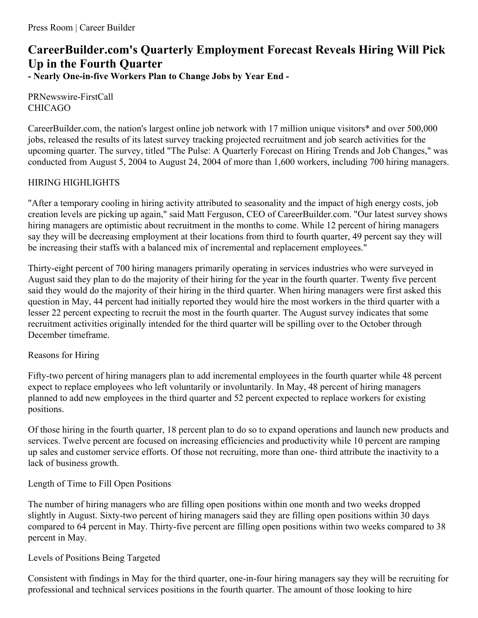# **CareerBuilder.com's Quarterly Employment Forecast Reveals Hiring Will Pick Up in the Fourth Quarter - Nearly One-in-five Workers Plan to Change Jobs by Year End -**

PRNewswire-FirstCall CHICAGO

CareerBuilder.com, the nation's largest online job network with 17 million unique visitors\* and over 500,000 jobs, released the results of its latest survey tracking projected recruitment and job search activities for the upcoming quarter. The survey, titled "The Pulse: A Quarterly Forecast on Hiring Trends and Job Changes," was conducted from August 5, 2004 to August 24, 2004 of more than 1,600 workers, including 700 hiring managers.

## HIRING HIGHLIGHTS

"After a temporary cooling in hiring activity attributed to seasonality and the impact of high energy costs, job creation levels are picking up again," said Matt Ferguson, CEO of CareerBuilder.com. "Our latest survey shows hiring managers are optimistic about recruitment in the months to come. While 12 percent of hiring managers say they will be decreasing employment at their locations from third to fourth quarter, 49 percent say they will be increasing their staffs with a balanced mix of incremental and replacement employees."

Thirty-eight percent of 700 hiring managers primarily operating in services industries who were surveyed in August said they plan to do the majority of their hiring for the year in the fourth quarter. Twenty five percent said they would do the majority of their hiring in the third quarter. When hiring managers were first asked this question in May, 44 percent had initially reported they would hire the most workers in the third quarter with a lesser 22 percent expecting to recruit the most in the fourth quarter. The August survey indicates that some recruitment activities originally intended for the third quarter will be spilling over to the October through December timeframe.

## Reasons for Hiring

Fifty-two percent of hiring managers plan to add incremental employees in the fourth quarter while 48 percent expect to replace employees who left voluntarily or involuntarily. In May, 48 percent of hiring managers planned to add new employees in the third quarter and 52 percent expected to replace workers for existing positions.

Of those hiring in the fourth quarter, 18 percent plan to do so to expand operations and launch new products and services. Twelve percent are focused on increasing efficiencies and productivity while 10 percent are ramping up sales and customer service efforts. Of those not recruiting, more than one- third attribute the inactivity to a lack of business growth.

## Length of Time to Fill Open Positions

The number of hiring managers who are filling open positions within one month and two weeks dropped slightly in August. Sixty-two percent of hiring managers said they are filling open positions within 30 days compared to 64 percent in May. Thirty-five percent are filling open positions within two weeks compared to 38 percent in May.

## Levels of Positions Being Targeted

Consistent with findings in May for the third quarter, one-in-four hiring managers say they will be recruiting for professional and technical services positions in the fourth quarter. The amount of those looking to hire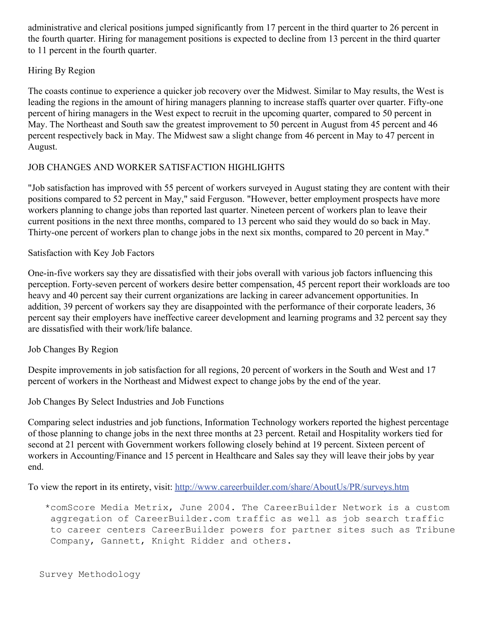administrative and clerical positions jumped significantly from 17 percent in the third quarter to 26 percent in the fourth quarter. Hiring for management positions is expected to decline from 13 percent in the third quarter to 11 percent in the fourth quarter.

#### Hiring By Region

The coasts continue to experience a quicker job recovery over the Midwest. Similar to May results, the West is leading the regions in the amount of hiring managers planning to increase staffs quarter over quarter. Fifty-one percent of hiring managers in the West expect to recruit in the upcoming quarter, compared to 50 percent in May. The Northeast and South saw the greatest improvement to 50 percent in August from 45 percent and 46 percent respectively back in May. The Midwest saw a slight change from 46 percent in May to 47 percent in August.

## JOB CHANGES AND WORKER SATISFACTION HIGHLIGHTS

"Job satisfaction has improved with 55 percent of workers surveyed in August stating they are content with their positions compared to 52 percent in May," said Ferguson. "However, better employment prospects have more workers planning to change jobs than reported last quarter. Nineteen percent of workers plan to leave their current positions in the next three months, compared to 13 percent who said they would do so back in May. Thirty-one percent of workers plan to change jobs in the next six months, compared to 20 percent in May."

#### Satisfaction with Key Job Factors

One-in-five workers say they are dissatisfied with their jobs overall with various job factors influencing this perception. Forty-seven percent of workers desire better compensation, 45 percent report their workloads are too heavy and 40 percent say their current organizations are lacking in career advancement opportunities. In addition, 39 percent of workers say they are disappointed with the performance of their corporate leaders, 36 percent say their employers have ineffective career development and learning programs and 32 percent say they are dissatisfied with their work/life balance.

#### Job Changes By Region

Despite improvements in job satisfaction for all regions, 20 percent of workers in the South and West and 17 percent of workers in the Northeast and Midwest expect to change jobs by the end of the year.

Job Changes By Select Industries and Job Functions

Comparing select industries and job functions, Information Technology workers reported the highest percentage of those planning to change jobs in the next three months at 23 percent. Retail and Hospitality workers tied for second at 21 percent with Government workers following closely behind at 19 percent. Sixteen percent of workers in Accounting/Finance and 15 percent in Healthcare and Sales say they will leave their jobs by year end.

To view the report in its entirety, visit: <http://www.careerbuilder.com/share/AboutUs/PR/surveys.htm>

\*comScore Media Metrix, June 2004. The CareerBuilder Network is a custom aggregation of CareerBuilder.com traffic as well as job search traffic to career centers CareerBuilder powers for partner sites such as Tribune Company, Gannett, Knight Ridder and others.